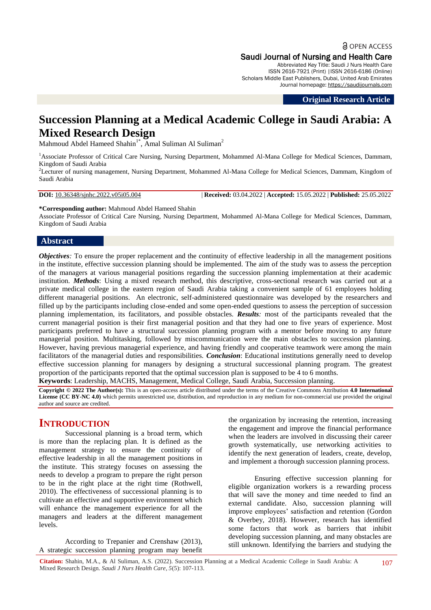**a** OPEN ACCESS Saudi Journal of Nursing and Health Care

Abbreviated Key Title: Saudi J Nurs Health Care ISSN 2616-7921 (Print) |ISSN 2616-6186 (Online) Scholars Middle East Publishers, Dubai, United Arab Emirates Journal homepage: [https://saudijournals.com](https://saudijournals.com/sjnhc)

**Original Research Article**

# **Succession Planning at a Medical Academic College in Saudi Arabia: A Mixed Research Design**

Mahmoud Abdel Hameed Shahin<sup>1\*</sup>, Amal Suliman Al Suliman<sup>2</sup>

<sup>1</sup>Associate Professor of Critical Care Nursing, Nursing Department, Mohammed Al-Mana College for Medical Sciences, Dammam, Kingdom of Saudi Arabia

<sup>2</sup>Lecturer of nursing management, Nursing Department, Mohammed Al-Mana College for Medical Sciences, Dammam, Kingdom of Saudi Arabia

**DOI:** 10.36348/sjnhc.2022.v05i05.004 | **Received:** 03.04.2022 | **Accepted:** 15.05.2022 | **Published:** 25.05.2022

**\*Corresponding author:** Mahmoud Abdel Hameed Shahin

Associate Professor of Critical Care Nursing, Nursing Department, Mohammed Al-Mana College for Medical Sciences, Dammam, Kingdom of Saudi Arabia

#### **Abstract**

*Objectives*: To ensure the proper replacement and the continuity of effective leadership in all the management positions in the institute, effective succession planning should be implemented. The aim of the study was to assess the perception of the managers at various managerial positions regarding the succession planning implementation at their academic institution. *Methods*: Using a mixed research method, this descriptive, cross-sectional research was carried out at a private medical college in the eastern region of Saudi Arabia taking a convenient sample of 61 employees holding different managerial positions. An electronic, self-administered questionnaire was developed by the researchers and filled up by the participants including close-ended and some open-ended questions to assess the perception of succession planning implementation, its facilitators, and possible obstacles. *Results:* most of the participants revealed that the current managerial position is their first managerial position and that they had one to five years of experience. Most participants preferred to have a structural succession planning program with a mentor before moving to any future managerial position. Multitasking, followed by miscommunication were the main obstacles to succession planning. However, having previous managerial experience, and having friendly and cooperative teamwork were among the main facilitators of the managerial duties and responsibilities. *Conclusion*: Educational institutions generally need to develop effective succession planning for managers by designing a structural successional planning program. The greatest proportion of the participants reported that the optimal succession plan is supposed to be 4 to 6 months.

**Keywords**: Leadership, MACHS, Management, Medical College, Saudi Arabia, Succession planning.

**Copyright © 2022 The Author(s):** This is an open-access article distributed under the terms of the Creative Commons Attribution **4.0 International License (CC BY-NC 4.0)** which permits unrestricted use, distribution, and reproduction in any medium for non-commercial use provided the original author and source are credited.

# **INTRODUCTION**

Successional planning is a broad term, which is more than the replacing plan. It is defined as the management strategy to ensure the continuity of effective leadership in all the management positions in the institute. This strategy focuses on assessing the needs to develop a program to prepare the right person to be in the right place at the right time [\(Rothwell,](#page-6-0)  [2010\)](#page-6-0). The effectiveness of successional planning is to cultivate an effective and supportive environment which will enhance the management experience for all the managers and leaders at the different management levels.

According to [Trepanier and Crenshaw \(2013\),](#page-6-1) A strategic succession planning program may benefit the organization by increasing the retention, increasing the engagement and improve the financial performance when the leaders are involved in discussing their career growth systematically, use networking activities to identify the next generation of leaders, create, develop, and implement a thorough succession planning process.

Ensuring effective succession planning for eligible organization workers is a rewarding process that will save the money and time needed to find an external candidate. Also, succession planning will improve employees' satisfaction and retention [\(Gordon](#page-6-2)  [& Overbey, 2018\)](#page-6-2). However, research has identified some factors that work as barriers that inhibit developing succession planning, and many obstacles are still unknown. Identifying the barriers and studying the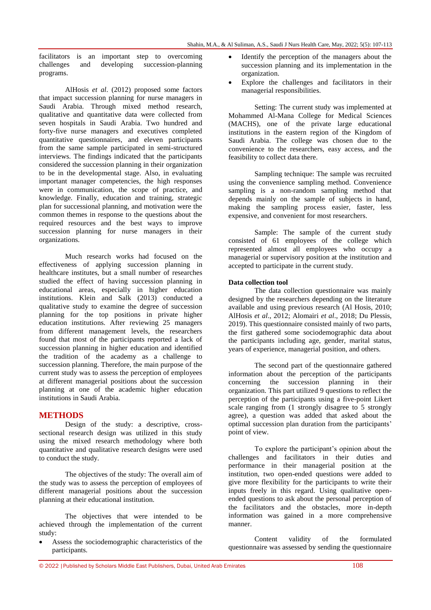facilitators is an important step to overcoming challenges and developing succession-planning programs.

[AlHosis](#page-6-3) *et al*. (2012) proposed some factors that impact succession planning for nurse managers in Saudi Arabia. Through mixed method research, qualitative and quantitative data were collected from seven hospitals in Saudi Arabia. Two hundred and forty-five nurse managers and executives completed quantitative questionnaires, and eleven participants from the same sample participated in semi-structured interviews. The findings indicated that the participants considered the succession planning in their organization to be in the developmental stage. Also, in evaluating important manager competencies, the high responses were in communication, the scope of practice, and knowledge. Finally, education and training, strategic plan for successional planning, and motivation were the common themes in response to the questions about the required resources and the best ways to improve succession planning for nurse managers in their organizations.

Much research works had focused on the effectiveness of applying succession planning in healthcare institutes, but a small number of researches studied the effect of having succession planning in educational areas, especially in higher education institutions. [Klein and Salk \(2013\)](#page-6-4) conducted a qualitative study to examine the degree of succession planning for the top positions in private higher education institutions. After reviewing 25 managers from different management levels, the researchers found that most of the participants reported a lack of succession planning in higher education and identified the tradition of the academy as a challenge to succession planning. Therefore, the main purpose of the current study was to assess the perception of employees at different managerial positions about the succession planning at one of the academic higher education institutions in Saudi Arabia.

## **METHODS**

Design of the study: a descriptive, crosssectional research design was utilized in this study using the mixed research methodology where both quantitative and qualitative research designs were used to conduct the study.

The objectives of the study: The overall aim of the study was to assess the perception of employees of different managerial positions about the succession planning at their educational institution.

The objectives that were intended to be achieved through the implementation of the current study:

 Assess the sociodemographic characteristics of the participants.

- Identify the perception of the managers about the succession planning and its implementation in the organization.
- Explore the challenges and facilitators in their managerial responsibilities.

Setting: The current study was implemented at Mohammed Al-Mana College for Medical Sciences (MACHS), one of the private large educational institutions in the eastern region of the Kingdom of Saudi Arabia. The college was chosen due to the convenience to the researchers, easy access, and the feasibility to collect data there.

Sampling technique: The sample was recruited using the convenience sampling method. Convenience sampling is a non-random sampling method that depends mainly on the sample of subjects in hand, making the sampling process easier, faster, less expensive, and convenient for most researchers.

Sample: The sample of the current study consisted of 61 employees of the college which represented almost all employees who occupy a managerial or supervisory position at the institution and accepted to participate in the current study.

#### **Data collection tool**

The data collection questionnaire was mainly designed by the researchers depending on the literature available and using previous research [\(Al Hosis, 2010;](#page-6-5) [AlHosis](#page-6-3) *et al*., 2012; [Alomairi](#page-6-6) *et al*., 2018; [Du Plessis,](#page-6-7)  [2019\)](#page-6-7). This questionnaire consisted mainly of two parts, the first gathered some sociodemographic data about the participants including age, gender, marital status, years of experience, managerial position, and others.

The second part of the questionnaire gathered information about the perception of the participants concerning the succession planning in their organization. This part utilized 9 questions to reflect the perception of the participants using a five-point Likert scale ranging from (1 strongly disagree to 5 strongly agree), a question was added that asked about the optimal succession plan duration from the participants' point of view.

To explore the participant's opinion about the challenges and facilitators in their duties and performance in their managerial position at the institution, two open-ended questions were added to give more flexibility for the participants to write their inputs freely in this regard. Using qualitative openended questions to ask about the personal perception of the facilitators and the obstacles, more in-depth information was gained in a more comprehensive manner.

Content validity of the formulated questionnaire was assessed by sending the questionnaire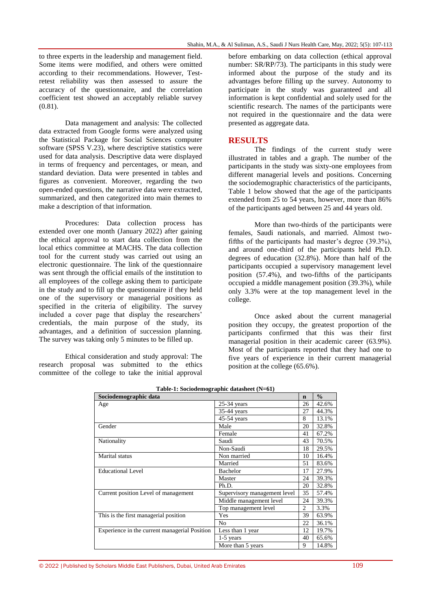to three experts in the leadership and management field. Some items were modified, and others were omitted according to their recommendations. However, Testretest reliability was then assessed to assure the accuracy of the questionnaire, and the correlation coefficient test showed an acceptably reliable survey (0.81).

Data management and analysis: The collected data extracted from Google forms were analyzed using the Statistical Package for Social Sciences computer software (SPSS V.23), where descriptive statistics were used for data analysis. Descriptive data were displayed in terms of frequency and percentages, or mean, and standard deviation. Data were presented in tables and figures as convenient. Moreover, regarding the two open-ended questions, the narrative data were extracted, summarized, and then categorized into main themes to make a description of that information.

Procedures: Data collection process has extended over one month (January 2022) after gaining the ethical approval to start data collection from the local ethics committee at MACHS. The data collection tool for the current study was carried out using an electronic questionnaire. The link of the questionnaire was sent through the official emails of the institution to all employees of the college asking them to participate in the study and to fill up the questionnaire if they held one of the supervisory or managerial positions as specified in the criteria of eligibility. The survey included a cover page that display the researchers' credentials, the main purpose of the study, its advantages, and a definition of succession planning. The survey was taking only 5 minutes to be filled up.

Ethical consideration and study approval: The research proposal was submitted to the ethics committee of the college to take the initial approval before embarking on data collection (ethical approval number: SR/RP/73). The participants in this study were informed about the purpose of the study and its advantages before filling up the survey. Autonomy to participate in the study was guaranteed and all information is kept confidential and solely used for the scientific research. The names of the participants were not required in the questionnaire and the data were presented as aggregate data.

## **RESULTS**

The findings of the current study were illustrated in tables and a graph. The number of the participants in the study was sixty-one employees from different managerial levels and positions. Concerning the sociodemographic characteristics of the participants, Table 1 below showed that the age of the participants extended from 25 to 54 years, however, more than 86% of the participants aged between 25 and 44 years old.

More than two-thirds of the participants were females, Saudi nationals, and married. Almost twofifths of the participants had master's degree (39.3%), and around one-third of the participants held Ph.D. degrees of education (32.8%). More than half of the participants occupied a supervisory management level position (57.4%), and two-fifths of the participants occupied a middle management position (39.3%), while only 3.3% were at the top management level in the college.

Once asked about the current managerial position they occupy, the greatest proportion of the participants confirmed that this was their first managerial position in their academic career (63.9%). Most of the participants reported that they had one to five years of experience in their current managerial position at the college (65.6%).

| Sociodemographic data                         |                              | $\mathbf n$    | $\frac{0}{0}$ |
|-----------------------------------------------|------------------------------|----------------|---------------|
| Age                                           | $25-34$ years                |                | 42.6%         |
|                                               | 35-44 years                  | 27             | 44.3%         |
|                                               | 45-54 years                  | 8              | 13.1%         |
| Gender                                        | Male                         | 20             | 32.8%         |
|                                               | Female                       | 41             | 67.2%         |
| Nationality                                   | Saudi                        | 43             | 70.5%         |
|                                               | Non-Saudi                    | 18             | 29.5%         |
| Marital status                                | Non married                  | 10             | 16.4%         |
|                                               | Married                      | 51             | 83.6%         |
| <b>Educational Level</b>                      | <b>Bachelor</b>              |                | 27.9%         |
|                                               | Master                       | 24             | 39.3%         |
|                                               | Ph.D.                        | 20             | 32.8%         |
| Current position Level of management          | Supervisory management level |                | 57.4%         |
|                                               | Middle management level      | 24             | 39.3%         |
|                                               | Top management level         | $\overline{c}$ | 3.3%          |
| This is the first managerial position         | Yes                          |                | 63.9%         |
|                                               | N <sub>0</sub>               | 22             | 36.1%         |
| Experience in the current managerial Position | Less than 1 year             |                | 19.7%         |
|                                               | $1-5$ years                  | 40             | 65.6%         |
|                                               | More than 5 years            | 9              | 14.8%         |

**Table-1: Sociodemographic datasheet (N=61)**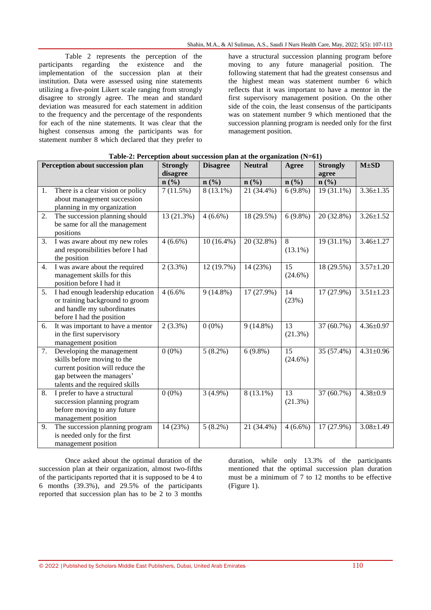Table 2 represents the perception of the participants regarding the existence and the implementation of the succession plan at their institution. Data were assessed using nine statements utilizing a five-point Likert scale ranging from strongly disagree to strongly agree. The mean and standard deviation was measured for each statement in addition to the frequency and the percentage of the respondents for each of the nine statements. It was clear that the highest consensus among the participants was for statement number 8 which declared that they prefer to

have a structural succession planning program before moving to any future managerial position. The following statement that had the greatest consensus and the highest mean was statement number 6 which reflects that it was important to have a mentor in the first supervisory management position. On the other side of the coin, the least consensus of the participants was on statement number 9 which mentioned that the succession planning program is needed only for the first management position.

| Perception about succession plan |                                   | <b>Strongly</b> | <b>Disagree</b> | <b>Neutral</b> | Agree                       | <b>Strongly</b> | $M\pm SD$       |
|----------------------------------|-----------------------------------|-----------------|-----------------|----------------|-----------------------------|-----------------|-----------------|
|                                  |                                   | disagree        |                 |                |                             | agree           |                 |
|                                  |                                   | $n$ (%)         | $n$ (%)         | n(%)           | $n\left(\frac{9}{6}\right)$ | $n$ (%)         |                 |
| 1.                               | There is a clear vision or policy | 7(11.5%)        | $8(13.1\%)$     | 21 (34.4%)     | $6(9.8\%)$                  | 19 (31.1%)      | $3.36 \pm 1.35$ |
|                                  | about management succession       |                 |                 |                |                             |                 |                 |
|                                  | planning in my organization       |                 |                 |                |                             |                 |                 |
| 2.                               | The succession planning should    | 13(21.3%)       | $4(6.6\%)$      | 18(29.5%)      | $6(9.8\%)$                  | 20(32.8%)       | $3.26 \pm 1.52$ |
|                                  | be same for all the management    |                 |                 |                |                             |                 |                 |
|                                  | positions                         |                 |                 |                |                             |                 |                 |
| 3.                               | I was aware about my new roles    | $4(6.6\%)$      | $10(16.4\%)$    | 20 (32.8%)     | 8                           | $19(31.1\%)$    | $3.46 \pm 1.27$ |
|                                  | and responsibilities before I had |                 |                 |                | $(13.1\%)$                  |                 |                 |
|                                  | the position                      |                 |                 |                |                             |                 |                 |
| 4.                               | I was aware about the required    | $2(3.3\%)$      | 12 (19.7%)      | 14 (23%)       | 15                          | 18 (29.5%)      | $3.57 \pm 1.20$ |
|                                  | management skills for this        |                 |                 |                | $(24.6\%)$                  |                 |                 |
|                                  | position before I had it          |                 |                 |                |                             |                 |                 |
| 5.                               | I had enough leadership education | 4(6.6%          | $9(14.8\%)$     | 17 (27.9%)     | 14                          | 17 (27.9%)      | $3.51 \pm 1.23$ |
|                                  | or training background to groom   |                 |                 |                | (23%)                       |                 |                 |
|                                  | and handle my subordinates        |                 |                 |                |                             |                 |                 |
|                                  | before I had the position         |                 |                 |                |                             |                 |                 |
| 6.                               | It was important to have a mentor | $2(3.3\%)$      | $0(0\%)$        | $9(14.8\%)$    | 13                          | 37 (60.7%)      | $4.36 \pm 0.97$ |
|                                  | in the first supervisory          |                 |                 |                | (21.3%)                     |                 |                 |
|                                  | management position               |                 |                 |                |                             |                 |                 |
| 7.                               | Developing the management         | $0(0\%)$        | $5(8.2\%)$      | $6(9.8\%)$     | 15                          | 35 (57.4%)      | $4.31 \pm 0.96$ |
|                                  | skills before moving to the       |                 |                 |                | $(24.6\%)$                  |                 |                 |
|                                  | current position will reduce the  |                 |                 |                |                             |                 |                 |
|                                  | gap between the managers'         |                 |                 |                |                             |                 |                 |
|                                  | talents and the required skills   |                 |                 |                |                             |                 |                 |
| 8.                               | I prefer to have a structural     | $0(0\%)$        | $3(4.9\%)$      | 8 (13.1%)      | 13                          | 37 (60.7%)      | $4.38 \pm 0.9$  |
|                                  | succession planning program       |                 |                 |                | (21.3%)                     |                 |                 |
|                                  | before moving to any future       |                 |                 |                |                             |                 |                 |
|                                  | management position               |                 |                 |                |                             |                 |                 |
| 9.                               | The succession planning program   | 14 (23%)        | $5(8.2\%)$      | 21 (34.4%)     | $4(6.6\%)$                  | 17 (27.9%)      | $3.08 \pm 1.49$ |
|                                  | is needed only for the first      |                 |                 |                |                             |                 |                 |
|                                  | management position               |                 |                 |                |                             |                 |                 |

| Table-2: Perception about succession plan at the organization (N=61) |  |
|----------------------------------------------------------------------|--|
|----------------------------------------------------------------------|--|

Once asked about the optimal duration of the succession plan at their organization, almost two-fifths of the participants reported that it is supposed to be 4 to 6 months (39.3%), and 29.5% of the participants reported that succession plan has to be 2 to 3 months

duration, while only 13.3% of the participants mentioned that the optimal succession plan duration must be a minimum of 7 to 12 months to be effective (Figure 1).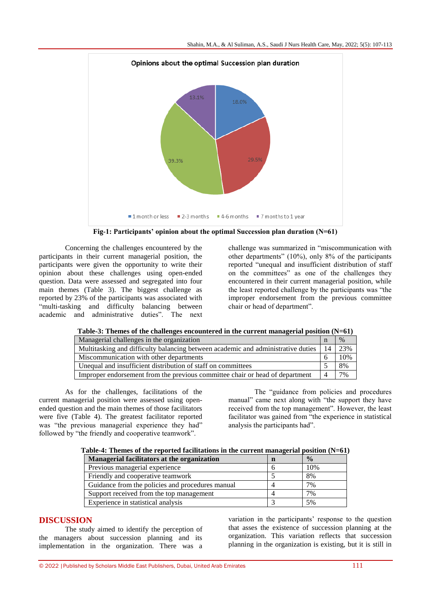

**Fig-1: Participants' opinion about the optimal Succession plan duration (N=61)**

Concerning the challenges encountered by the participants in their current managerial position, the participants were given the opportunity to write their opinion about these challenges using open-ended question. Data were assessed and segregated into four main themes (Table 3). The biggest challenge as reported by 23% of the participants was associated with "multi-tasking and difficulty balancing between academic and administrative duties". The next

challenge was summarized in "miscommunication with other departments" (10%), only 8% of the participants reported "unequal and insufficient distribution of staff on the committees" as one of the challenges they encountered in their current managerial position, while the least reported challenge by the participants was "the improper endorsement from the previous committee chair or head of department".

| Managerial challenges in the organization                                        |     | $\%$ |
|----------------------------------------------------------------------------------|-----|------|
| Multitasking and difficulty balancing between academic and administrative duties | -14 | 23%  |
| Miscommunication with other departments                                          |     | 10%  |
| Unequal and insufficient distribution of staff on committees                     |     | 8%   |
| Improper endorsement from the previous committee chair or head of department     |     | 7%   |

As for the challenges, facilitations of the current managerial position were assessed using openended question and the main themes of those facilitators were five (Table 4). The greatest facilitator reported was "the previous managerial experience they had" followed by "the friendly and cooperative teamwork".

The "guidance from policies and procedures manual" came next along with "the support they have received from the top management". However, the least facilitator was gained from "the experience in statistical analysis the participants had".

| Table-4: Themes of the reported facilitations in the current managerial position $(N=61)$ |  |  |  |
|-------------------------------------------------------------------------------------------|--|--|--|
|                                                                                           |  |  |  |

| Managerial facilitators at the organization      | n | $\frac{0}{0}$ |  |  |  |
|--------------------------------------------------|---|---------------|--|--|--|
| Previous managerial experience                   |   | 10%           |  |  |  |
| Friendly and cooperative teamwork                |   | 8%            |  |  |  |
| Guidance from the policies and procedures manual |   | 7%            |  |  |  |
| Support received from the top management         |   | 7%            |  |  |  |
| Experience in statistical analysis               |   | 5%            |  |  |  |

## **DISCUSSION**

The study aimed to identify the perception of the managers about succession planning and its implementation in the organization. There was a

variation in the participants' response to the question that asses the existence of succession planning at the organization. This variation reflects that succession planning in the organization is existing, but it is still in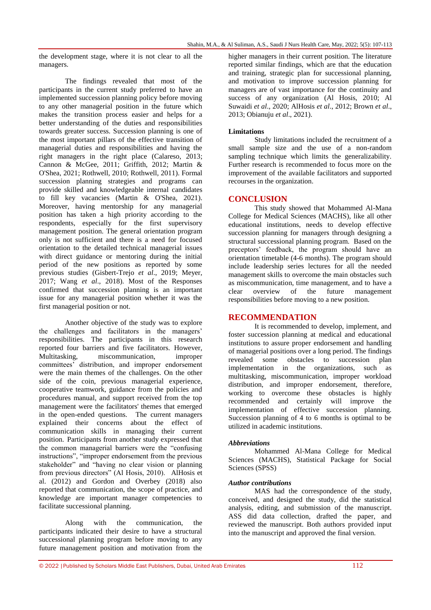the development stage, where it is not clear to all the managers.

The findings revealed that most of the participants in the current study preferred to have an implemented succession planning policy before moving to any other managerial position in the future which makes the transition process easier and helps for a better understanding of the duties and responsibilities towards greater success. Succession planning is one of the most important pillars of the effective transition of managerial duties and responsibilities and having the right managers in the right place [\(Calareso, 2013;](#page-6-8) [Cannon & McGee, 2011;](#page-6-9) [Griffith, 2012;](#page-6-10) [Martin &](#page-6-11)  [O'Shea, 2021;](#page-6-11) [Rothwell, 2010;](#page-6-0) [Rothwell, 2011\)](#page-6-12). Formal succession planning strategies and programs can provide skilled and knowledgeable internal candidates to fill key vacancies [\(Martin & O'Shea, 2021\)](#page-6-11). Moreover, having mentorship for any managerial position has taken a high priority according to the respondents, especially for the first supervisory management position. The general orientation program only is not sufficient and there is a need for focused orientation to the detailed technical managerial issues with direct guidance or mentoring during the initial period of the new positions as reported by some previous studies [\(Gisbert-Trejo](#page-6-13) *et al*., 2019; [Meyer,](#page-6-14)  [2017;](#page-6-14) [Wang](#page-6-15) *et al*., 2018). Most of the Responses confirmed that succession planning is an important issue for any managerial position whether it was the first managerial position or not.

Another objective of the study was to explore the challenges and facilitators in the managers' responsibilities. The participants in this research reported four barriers and five facilitators. However, Multitasking, miscommunication, improper committees' distribution, and improper endorsement were the main themes of the challenges. On the other side of the coin, previous managerial experience, cooperative teamwork, guidance from the policies and procedures manual, and support received from the top management were the facilitators' themes that emerged in the open-ended questions. The current managers explained their concerns about the effect of communication skills in managing their current position. Participants from another study expressed that the common managerial barriers were the "confusing instructions", "improper endorsement from the previous stakeholder" and "having no clear vision or planning from previous directors" (Al Hosis, 2010). AlHosis et al. (2012) and Gordon and Overbey (2018) also reported that communication, the scope of practice, and knowledge are important manager competencies to facilitate successional planning.

Along with the communication, the participants indicated their desire to have a structural successional planning program before moving to any future management position and motivation from the higher managers in their current position. The literature reported similar findings, which are that the education and training, strategic plan for successional planning, and motivation to improve succession planning for managers are of vast importance for the continuity and success of any organization [\(Al Hosis, 2010;](#page-6-5) [Al](#page-6-16)  [Suwaidi](#page-6-16) *et al*., 2020; [AlHosis](#page-6-3) *et al*., 2012[; Brown](#page-6-17) *et al*., [2013;](#page-6-17) [Obianuju](#page-6-18) *et al*., 2021).

#### **Limitations**

Study limitations included the recruitment of a small sample size and the use of a non-random sampling technique which limits the generalizability. Further research is recommended to focus more on the improvement of the available facilitators and supported recourses in the organization.

#### **CONCLUSION**

This study showed that Mohammed Al-Mana College for Medical Sciences (MACHS), like all other educational institutions, needs to develop effective succession planning for managers through designing a structural successional planning program. Based on the preceptors' feedback, the program should have an orientation timetable (4-6 months). The program should include leadership series lectures for all the needed management skills to overcome the main obstacles such as miscommunication, time management, and to have a clear overview of the future management responsibilities before moving to a new position.

## **RECOMMENDATION**

It is recommended to develop, implement, and foster succession planning at medical and educational institutions to assure proper endorsement and handling of managerial positions over a long period. The findings revealed some obstacles to succession plan implementation in the organizations, such as multitasking, miscommunication, improper workload distribution, and improper endorsement, therefore, working to overcome these obstacles is highly recommended and certainly will improve the implementation of effective succession planning. Succession planning of 4 to 6 months is optimal to be utilized in academic institutions.

#### *Abbreviations*

Mohammed Al-Mana College for Medical Sciences (MACHS), Statistical Package for Social Sciences (SPSS)

#### *Author contributions*

MAS had the correspondence of the study, conceived, and designed the study, did the statistical analysis, editing, and submission of the manuscript. ASS did data collection, drafted the paper, and reviewed the manuscript. Both authors provided input into the manuscript and approved the final version.